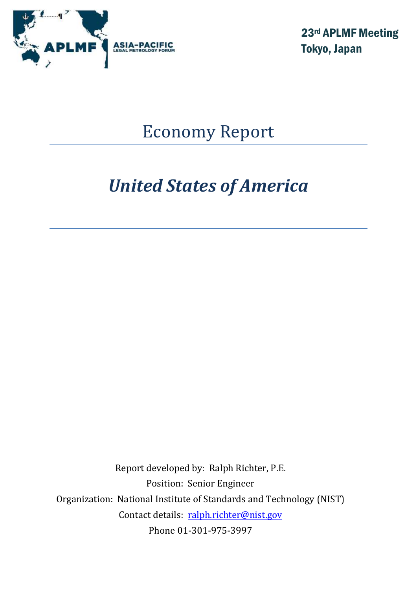

23rd APLMF Meeting Tokyo, Japan

# Economy Report

# *United States of America*

Report developed by: Ralph Richter, P.E. Position: Senior Engineer Organization: National Institute of Standards and Technology (NIST) Contact details: [ralph.richter@nist.gov](mailto:ralph.richter@nist.gov) Phone 01-301-975-3997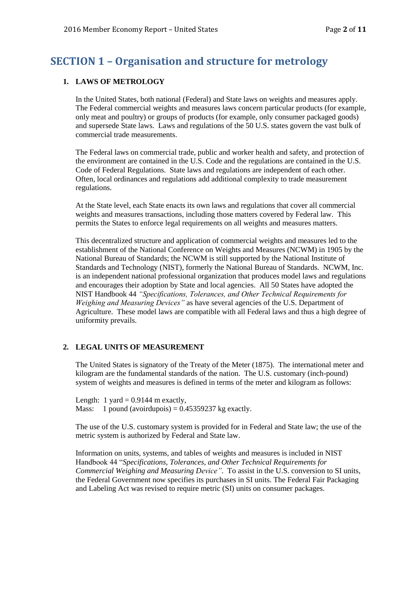# **SECTION 1 – Organisation and structure for metrology**

#### **1. LAWS OF METROLOGY**

In the United States, both national (Federal) and State laws on weights and measures apply. The Federal commercial weights and measures laws concern particular products (for example, only meat and poultry) or groups of products (for example, only consumer packaged goods) and supersede State laws. Laws and regulations of the 50 U.S. states govern the vast bulk of commercial trade measurements.

The Federal laws on commercial trade, public and worker health and safety, and protection of the environment are contained in the U.S. Code and the regulations are contained in the U.S. Code of Federal Regulations. State laws and regulations are independent of each other. Often, local ordinances and regulations add additional complexity to trade measurement regulations.

At the State level, each State enacts its own laws and regulations that cover all commercial weights and measures transactions, including those matters covered by Federal law. This permits the States to enforce legal requirements on all weights and measures matters.

This decentralized structure and application of commercial weights and measures led to the establishment of the National Conference on Weights and Measures (NCWM) in 1905 by the National Bureau of Standards; the NCWM is still supported by the National Institute of Standards and Technology (NIST), formerly the National Bureau of Standards. NCWM, Inc. is an independent national professional organization that produces model laws and regulations and encourages their adoption by State and local agencies. All 50 States have adopted the NIST Handbook 44 *"Specifications, Tolerances, and Other Technical Requirements for Weighing and Measuring Devices"* as have several agencies of the U.S. Department of Agriculture. These model laws are compatible with all Federal laws and thus a high degree of uniformity prevails.

#### **2. LEGAL UNITS OF MEASUREMENT**

The United States is signatory of the Treaty of the Meter (1875). The international meter and kilogram are the fundamental standards of the nation. The U.S. customary (inch-pound) system of weights and measures is defined in terms of the meter and kilogram as follows:

Length: 1 yard  $= 0.9144$  m exactly, Mass: 1 pound (avoirdupois) =  $0.45359237$  kg exactly.

The use of the U.S. customary system is provided for in Federal and State law; the use of the metric system is authorized by Federal and State law.

Information on units, systems, and tables of weights and measures is included in NIST Handbook 44 "*Specifications, Tolerances, and Other Technical Requirements for Commercial Weighing and Measuring Device"*.To assist in the U.S. conversion to SI units, the Federal Government now specifies its purchases in SI units. The Federal Fair Packaging and Labeling Act was revised to require metric (SI) units on consumer packages.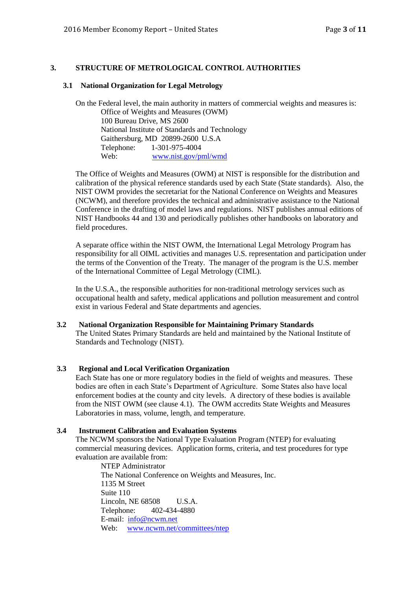#### **3. STRUCTURE OF METROLOGICAL CONTROL AUTHORITIES**

#### **3.1 National Organization for Legal Metrology**

On the Federal level, the main authority in matters of commercial weights and measures is: Office of Weights and Measures (OWM) 100 Bureau Drive, MS 2600 National Institute of Standards and Technology Gaithersburg, MD 20899-2600 U.S.A Telephone: 1-301-975-4004 Web: [www.nist.gov/pml/wmd](http://www.nist.gov/pml/wmd)

The Office of Weights and Measures (OWM) at NIST is responsible for the distribution and calibration of the physical reference standards used by each State (State standards). Also, the NIST OWM provides the secretariat for the National Conference on Weights and Measures (NCWM), and therefore provides the technical and administrative assistance to the National Conference in the drafting of model laws and regulations. NIST publishes annual editions of NIST Handbooks 44 and 130 and periodically publishes other handbooks on laboratory and field procedures.

A separate office within the NIST OWM, the International Legal Metrology Program has responsibility for all OIML activities and manages U.S. representation and participation under the terms of the Convention of the Treaty. The manager of the program is the U.S. member of the International Committee of Legal Metrology (CIML).

In the U.S.A., the responsible authorities for non-traditional metrology services such as occupational health and safety, medical applications and pollution measurement and control exist in various Federal and State departments and agencies.

#### **3.2 National Organization Responsible for Maintaining Primary Standards** The United States Primary Standards are held and maintained by the National Institute of

Standards and Technology (NIST).

#### **3.3 Regional and Local Verification Organization**

Each State has one or more regulatory bodies in the field of weights and measures. These bodies are often in each State's Department of Agriculture. Some States also have local enforcement bodies at the county and city levels. A directory of these bodies is available from the NIST OWM (see clause 4.1). The OWM accredits State Weights and Measures Laboratories in mass, volume, length, and temperature.

#### **3.4 Instrument Calibration and Evaluation Systems**

The NCWM sponsors the National Type Evaluation Program (NTEP) for evaluating commercial measuring devices. Application forms, criteria, and test procedures for type evaluation are available from:

NTEP Administrator The National Conference on Weights and Measures, Inc. 1135 M Street Suite 110 Lincoln, NE 68508 U.S.A. Telephone: 402-434-4880 E-mail: [info@ncwm.net](mailto:info@ncwm.net) Web: [www.ncwm.net/committees/ntep](http://www.ncwm.net/committees/ntep)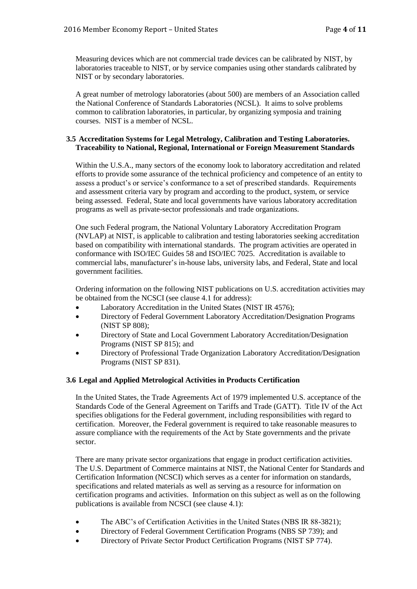Measuring devices which are not commercial trade devices can be calibrated by NIST, by laboratories traceable to NIST, or by service companies using other standards calibrated by NIST or by secondary laboratories.

A great number of metrology laboratories (about 500) are members of an Association called the National Conference of Standards Laboratories (NCSL). It aims to solve problems common to calibration laboratories, in particular, by organizing symposia and training courses. NIST is a member of NCSL.

#### **3.5 Accreditation Systems for Legal Metrology, Calibration and Testing Laboratories. Traceability to National, Regional, International or Foreign Measurement Standards**

Within the U.S.A., many sectors of the economy look to laboratory accreditation and related efforts to provide some assurance of the technical proficiency and competence of an entity to assess a product's or service's conformance to a set of prescribed standards. Requirements and assessment criteria vary by program and according to the product, system, or service being assessed. Federal, State and local governments have various laboratory accreditation programs as well as private-sector professionals and trade organizations.

One such Federal program, the National Voluntary Laboratory Accreditation Program (NVLAP) at NIST, is applicable to calibration and testing laboratories seeking accreditation based on compatibility with international standards. The program activities are operated in conformance with ISO/IEC Guides 58 and ISO/IEC 7025. Accreditation is available to commercial labs, manufacturer's in-house labs, university labs, and Federal, State and local government facilities.

Ordering information on the following NIST publications on U.S. accreditation activities may be obtained from the NCSCI (see clause 4.1 for address):

- Laboratory Accreditation in the United States (NIST IR 4576);
- Directory of Federal Government Laboratory Accreditation/Designation Programs (NIST SP 808);
- Directory of State and Local Government Laboratory Accreditation/Designation Programs (NIST SP 815); and
- Directory of Professional Trade Organization Laboratory Accreditation/Designation Programs (NIST SP 831).

#### **3.6 Legal and Applied Metrological Activities in Products Certification**

In the United States, the Trade Agreements Act of 1979 implemented U.S. acceptance of the Standards Code of the General Agreement on Tariffs and Trade (GATT). Title IV of the Act specifies obligations for the Federal government, including responsibilities with regard to certification. Moreover, the Federal government is required to take reasonable measures to assure compliance with the requirements of the Act by State governments and the private sector.

There are many private sector organizations that engage in product certification activities. The U.S. Department of Commerce maintains at NIST, the National Center for Standards and Certification Information (NCSCI) which serves as a center for information on standards, specifications and related materials as well as serving as a resource for information on certification programs and activities. Information on this subject as well as on the following publications is available from NCSCI (see clause 4.1):

- The ABC's of Certification Activities in the United States (NBS IR 88-3821);
- Directory of Federal Government Certification Programs (NBS SP 739); and
- Directory of Private Sector Product Certification Programs (NIST SP 774).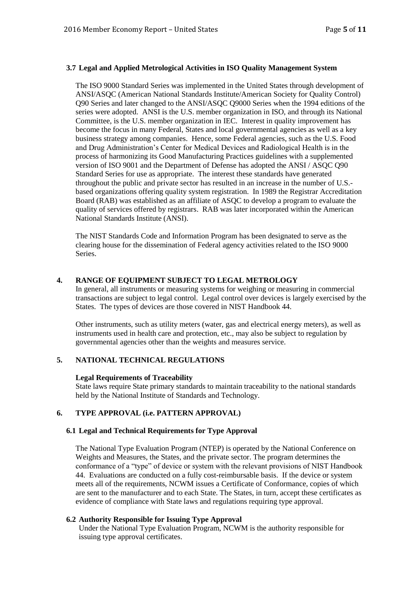#### **3.7 Legal and Applied Metrological Activities in ISO Quality Management System**

The ISO 9000 Standard Series was implemented in the United States through development of ANSI/ASQC (American National Standards Institute/American Society for Quality Control) Q90 Series and later changed to the ANSI/ASQC Q9000 Series when the 1994 editions of the series were adopted. ANSI is the U.S. member organization in ISO, and through its National Committee, is the U.S. member organization in IEC. Interest in quality improvement has become the focus in many Federal, States and local governmental agencies as well as a key business strategy among companies. Hence, some Federal agencies, such as the U.S. Food and Drug Administration's Center for Medical Devices and Radiological Health is in the process of harmonizing its Good Manufacturing Practices guidelines with a supplemented version of ISO 9001 and the Department of Defense has adopted the ANSI / ASQC Q90 Standard Series for use as appropriate. The interest these standards have generated throughout the public and private sector has resulted in an increase in the number of U.S. based organizations offering quality system registration. In 1989 the Registrar Accreditation Board (RAB) was established as an affiliate of ASQC to develop a program to evaluate the quality of services offered by registrars. RAB was later incorporated within the American National Standards Institute (ANSI).

The NIST Standards Code and Information Program has been designated to serve as the clearing house for the dissemination of Federal agency activities related to the ISO 9000 Series.

#### **4. RANGE OF EQUIPMENT SUBJECT TO LEGAL METROLOGY**

In general, all instruments or measuring systems for weighing or measuring in commercial transactions are subject to legal control. Legal control over devices is largely exercised by the States. The types of devices are those covered in NIST Handbook 44.

Other instruments, such as utility meters (water, gas and electrical energy meters), as well as instruments used in health care and protection, etc., may also be subject to regulation by governmental agencies other than the weights and measures service.

#### **5. NATIONAL TECHNICAL REGULATIONS**

#### **Legal Requirements of Traceability**

State laws require State primary standards to maintain traceability to the national standards held by the National Institute of Standards and Technology.

#### **6. TYPE APPROVAL (i.e. PATTERN APPROVAL)**

#### **6.1 Legal and Technical Requirements for Type Approval**

The National Type Evaluation Program (NTEP) is operated by the National Conference on Weights and Measures, the States, and the private sector. The program determines the conformance of a "type" of device or system with the relevant provisions of NIST Handbook 44. Evaluations are conducted on a fully cost-reimbursable basis. If the device or system meets all of the requirements, NCWM issues a Certificate of Conformance, copies of which are sent to the manufacturer and to each State. The States, in turn, accept these certificates as evidence of compliance with State laws and regulations requiring type approval.

#### **6.2 Authority Responsible for Issuing Type Approval**

Under the National Type Evaluation Program, NCWM is the authority responsible for issuing type approval certificates.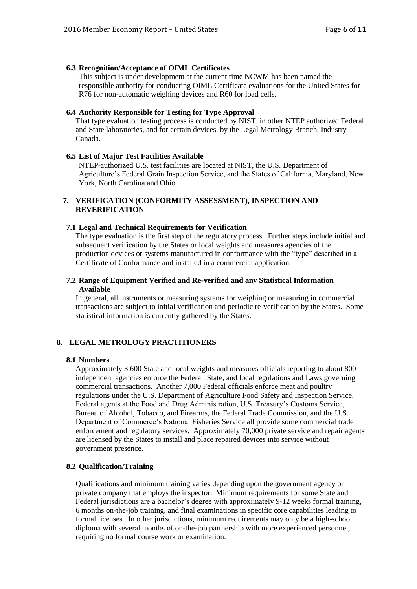#### **6.3 Recognition/Acceptance of OIML Certificates**

This subject is under development at the current time NCWM has been named the responsible authority for conducting OIML Certificate evaluations for the United States for R76 for non-automatic weighing devices and R60 for load cells.

#### **6.4 Authority Responsible for Testing for Type Approval**

That type evaluation testing process is conducted by NIST, in other NTEP authorized Federal and State laboratories, and for certain devices, by the Legal Metrology Branch, Industry Canada.

#### **6.5 List of Major Test Facilities Available**

NTEP-authorized U.S. test facilities are located at NIST, the U.S. Department of Agriculture's Federal Grain Inspection Service, and the States of California, Maryland, New York, North Carolina and Ohio.

#### **7. VERIFICATION (CONFORMITY ASSESSMENT), INSPECTION AND REVERIFICATION**

#### **7.1 Legal and Technical Requirements for Verification**

The type evaluation is the first step of the regulatory process. Further steps include initial and subsequent verification by the States or local weights and measures agencies of the production devices or systems manufactured in conformance with the "type" described in a Certificate of Conformance and installed in a commercial application.

#### **7.2 Range of Equipment Verified and Re-verified and any Statistical Information Available**

In general, all instruments or measuring systems for weighing or measuring in commercial transactions are subject to initial verification and periodic re-verification by the States. Some statistical information is currently gathered by the States.

#### **8. LEGAL METROLOGY PRACTITIONERS**

#### **8.1 Numbers**

Approximately 3,600 State and local weights and measures officials reporting to about 800 independent agencies enforce the Federal, State, and local regulations and Laws governing commercial transactions. Another 7,000 Federal officials enforce meat and poultry regulations under the U.S. Department of Agriculture Food Safety and Inspection Service. Federal agents at the Food and Drug Administration, U.S. Treasury's Customs Service, Bureau of Alcohol, Tobacco, and Firearms, the Federal Trade Commission, and the U.S. Department of Commerce's National Fisheries Service all provide some commercial trade enforcement and regulatory services. Approximately 70,000 private service and repair agents are licensed by the States to install and place repaired devices into service without government presence.

#### **8.2 Qualification/Training**

Qualifications and minimum training varies depending upon the government agency or private company that employs the inspector. Minimum requirements for some State and Federal jurisdictions are a bachelor's degree with approximately 9-12 weeks formal training, 6 months on-the-job training, and final examinations in specific core capabilities leading to formal licenses. In other jurisdictions, minimum requirements may only be a high-school diploma with several months of on-the-job partnership with more experienced personnel, requiring no formal course work or examination.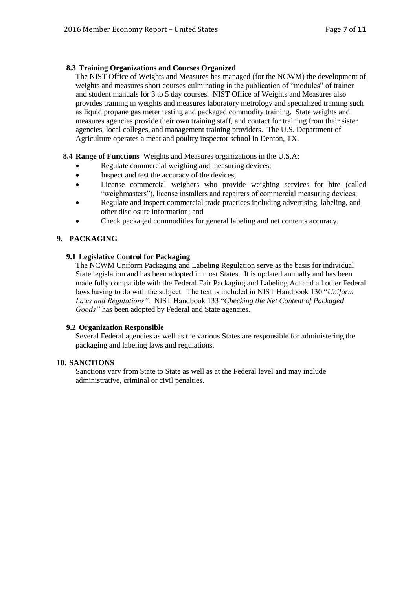#### **8.3 Training Organizations and Courses Organized**

The NIST Office of Weights and Measures has managed (for the NCWM) the development of weights and measures short courses culminating in the publication of "modules" of trainer and student manuals for 3 to 5 day courses. NIST Office of Weights and Measures also provides training in weights and measures laboratory metrology and specialized training such as liquid propane gas meter testing and packaged commodity training. State weights and measures agencies provide their own training staff, and contact for training from their sister agencies, local colleges, and management training providers. The U.S. Department of Agriculture operates a meat and poultry inspector school in Denton, TX.

**8.4 Range of Functions** Weights and Measures organizations in the U.S.A:

- Regulate commercial weighing and measuring devices;
- Inspect and test the accuracy of the devices;
- License commercial weighers who provide weighing services for hire (called "weighmasters"), license installers and repairers of commercial measuring devices;
- Regulate and inspect commercial trade practices including advertising, labeling, and other disclosure information; and
- Check packaged commodities for general labeling and net contents accuracy.

#### **9. PACKAGING**

#### **9.1 Legislative Control for Packaging**

The NCWM Uniform Packaging and Labeling Regulation serve as the basis for individual State legislation and has been adopted in most States. It is updated annually and has been made fully compatible with the Federal Fair Packaging and Labeling Act and all other Federal laws having to do with the subject. The text is included in NIST Handbook 130 "*Uniform Laws and Regulations".* NIST Handbook 133 "*Checking the Net Content of Packaged*  Goods" has been adopted by Federal and State agencies.

#### **9.2 Organization Responsible**

Several Federal agencies as well as the various States are responsible for administering the packaging and labeling laws and regulations.

#### **10. SANCTIONS**

Sanctions vary from State to State as well as at the Federal level and may include administrative, criminal or civil penalties.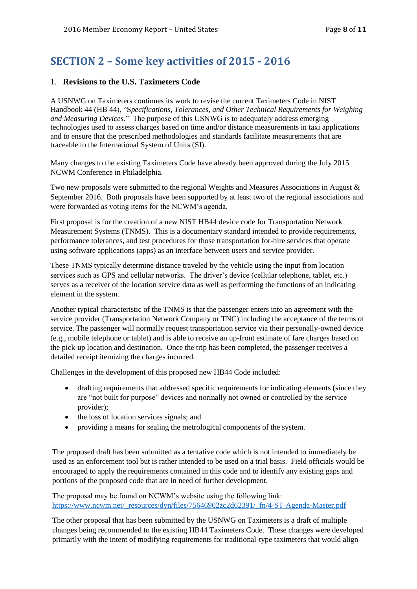# **SECTION 2 – Some key activities of 2015 - 2016**

### 1. **Revisions to the U.S. Taximeters Code**

A USNWG on Taximeters continues its work to revise the current Taximeters Code in NIST Handbook 44 (HB 44), "S*pecifications, Tolerances, and Other Technical Requirements for Weighing and Measuring Devices*." The purpose of this USNWG is to adequately address emerging technologies used to assess charges based on time and/or distance measurements in taxi applications and to ensure that the prescribed methodologies and standards facilitate measurements that are traceable to the International System of Units (SI).

Many changes to the existing Taximeters Code have already been approved during the July 2015 NCWM Conference in Philadelphia.

Two new proposals were submitted to the regional Weights and Measures Associations in August & September 2016. Both proposals have been supported by at least two of the regional associations and were forwarded as voting items for the NCWM's agenda.

First proposal is for the creation of a new NIST HB44 device code for Transportation Network Measurement Systems (TNMS). This is a documentary standard intended to provide requirements, performance tolerances, and test procedures for those transportation for-hire services that operate using software applications (apps) as an interface between users and service provider.

These TNMS typically determine distance traveled by the vehicle using the input from location services such as GPS and cellular networks. The driver's device (cellular telephone, tablet, etc.) serves as a receiver of the location service data as well as performing the functions of an indicating element in the system.

Another typical characteristic of the TNMS is that the passenger enters into an agreement with the service provider (Transportation Network Company or TNC) including the acceptance of the terms of service. The passenger will normally request transportation service via their personally-owned device (e.g., mobile telephone or tablet) and is able to receive an up-front estimate of fare charges based on the pick-up location and destination. Once the trip has been completed, the passenger receives a detailed receipt itemizing the charges incurred.

Challenges in the development of this proposed new HB44 Code included:

- drafting requirements that addressed specific requirements for indicating elements (since they are "not built for purpose" devices and normally not owned or controlled by the service provider);
- the loss of location services signals; and
- providing a means for sealing the metrological components of the system.

The proposed draft has been submitted as a tentative code which is not intended to immediately be used as an enforcement tool but is rather intended to be used on a trial basis. Field officials would be encouraged to apply the requirements contained in this code and to identify any existing gaps and portions of the proposed code that are in need of further development.

The proposal may be found on NCWM's website using the following link: [https://www.ncwm.net/\\_resources/dyn/files/75646902zc2d62391/\\_fn/4-ST-Agenda-Master.pdf](https://www.ncwm.net/_resources/dyn/files/75646902zc2d62391/_fn/4-ST-Agenda-Master.pdf)

The other proposal that has been submitted by the USNWG on Taximeters is a draft of multiple changes being recommended to the existing HB44 Taximeters Code. These changes were developed primarily with the intent of modifying requirements for traditional-type taximeters that would align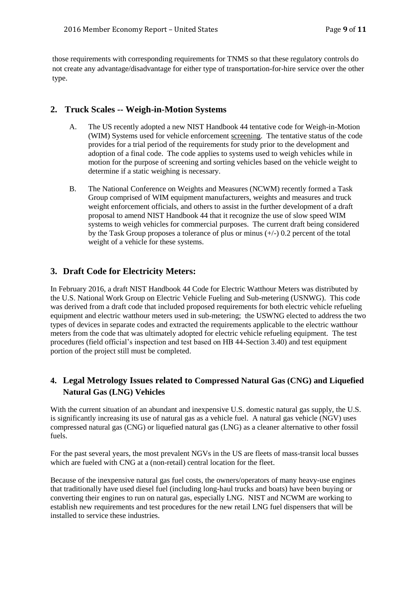those requirements with corresponding requirements for TNMS so that these regulatory controls do not create any advantage/disadvantage for either type of transportation-for-hire service over the other type.

## **2. Truck Scales -- Weigh-in-Motion Systems**

- A. The US recently adopted a new NIST Handbook 44 tentative code for Weigh-in-Motion (WIM) Systems used for vehicle enforcement screening. The tentative status of the code provides for a trial period of the requirements for study prior to the development and adoption of a final code. The code applies to systems used to weigh vehicles while in motion for the purpose of screening and sorting vehicles based on the vehicle weight to determine if a static weighing is necessary.
- B. The National Conference on Weights and Measures (NCWM) recently formed a Task Group comprised of WIM equipment manufacturers, weights and measures and truck weight enforcement officials, and others to assist in the further development of a draft proposal to amend NIST Handbook 44 that it recognize the use of slow speed WIM systems to weigh vehicles for commercial purposes. The current draft being considered by the Task Group proposes a tolerance of plus or minus  $(+/-)$  0.2 percent of the total weight of a vehicle for these systems.

# **3. Draft Code for Electricity Meters:**

In February 2016, a draft NIST Handbook 44 Code for Electric Watthour Meters was distributed by the U.S. National Work Group on Electric Vehicle Fueling and Sub-metering (USNWG). This code was derived from a draft code that included proposed requirements for both electric vehicle refueling equipment and electric watthour meters used in sub-metering; the USWNG elected to address the two types of devices in separate codes and extracted the requirements applicable to the electric watthour meters from the code that was ultimately adopted for electric vehicle refueling equipment. The test procedures (field official's inspection and test based on HB 44-Section 3.40) and test equipment portion of the project still must be completed.

# **4. Legal Metrology Issues related to Compressed Natural Gas (CNG) and Liquefied Natural Gas (LNG) Vehicles**

With the current situation of an abundant and inexpensive U.S. domestic natural gas supply, the U.S. is significantly increasing its use of natural gas as a vehicle fuel. A natural gas vehicle (NGV) uses compressed natural gas (CNG) or liquefied natural gas (LNG) as a cleaner alternative to other fossil fuels.

For the past several years, the most prevalent NGVs in the US are fleets of mass-transit local busses which are fueled with CNG at a (non-retail) central location for the fleet.

Because of the inexpensive natural gas fuel costs, the owners/operators of many heavy-use engines that traditionally have used diesel fuel (including long-haul trucks and boats) have been buying or converting their engines to run on natural gas, especially LNG. NIST and NCWM are working to establish new requirements and test procedures for the new retail LNG fuel dispensers that will be installed to service these industries.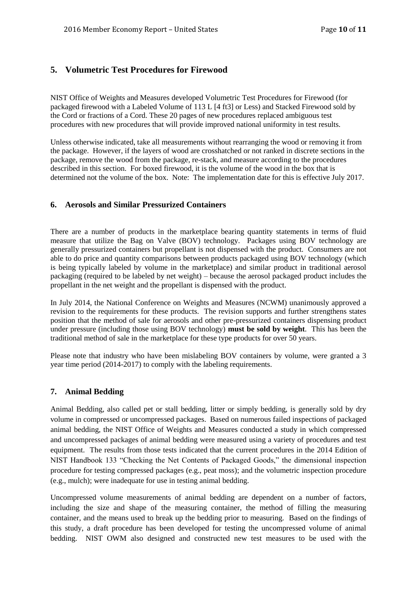# **5. Volumetric Test Procedures for Firewood**

NIST Office of Weights and Measures developed Volumetric Test Procedures for Firewood (for packaged firewood with a Labeled Volume of 113 L [4 ft3] or Less) and Stacked Firewood sold by the Cord or fractions of a Cord. These 20 pages of new procedures replaced ambiguous test procedures with new procedures that will provide improved national uniformity in test results.

Unless otherwise indicated, take all measurements without rearranging the wood or removing it from the package. However, if the layers of wood are crosshatched or not ranked in discrete sections in the package, remove the wood from the package, re-stack, and measure according to the procedures described in this section. For boxed firewood, it is the volume of the wood in the box that is determined not the volume of the box. Note: The implementation date for this is effective July 2017.

### **6. Aerosols and Similar Pressurized Containers**

There are a number of products in the marketplace bearing quantity statements in terms of fluid measure that utilize the Bag on Valve (BOV) technology. Packages using BOV technology are generally pressurized containers but propellant is not dispensed with the product. Consumers are not able to do price and quantity comparisons between products packaged using BOV technology (which is being typically labeled by volume in the marketplace) and similar product in traditional aerosol packaging (required to be labeled by net weight) – because the aerosol packaged product includes the propellant in the net weight and the propellant is dispensed with the product.

In July 2014, the National Conference on Weights and Measures (NCWM) unanimously approved a revision to the requirements for these products. The revision supports and further strengthens states position that the method of sale for aerosols and other pre-pressurized containers dispensing product under pressure (including those using BOV technology) **must be sold by weight**. This has been the traditional method of sale in the marketplace for these type products for over 50 years.

Please note that industry who have been mislabeling BOV containers by volume, were granted a 3 year time period (2014-2017) to comply with the labeling requirements.

# **7. Animal Bedding**

Animal Bedding, also called pet or stall bedding, litter or simply bedding, is generally sold by dry volume in compressed or uncompressed packages. Based on numerous failed inspections of packaged animal bedding, the NIST Office of Weights and Measures conducted a study in which compressed and uncompressed packages of animal bedding were measured using a variety of procedures and test equipment. The results from those tests indicated that the current procedures in the 2014 Edition of NIST Handbook 133 "Checking the Net Contents of Packaged Goods," the dimensional inspection procedure for testing compressed packages (e.g., peat moss); and the volumetric inspection procedure (e.g., mulch); were inadequate for use in testing animal bedding.

Uncompressed volume measurements of animal bedding are dependent on a number of factors, including the size and shape of the measuring container, the method of filling the measuring container, and the means used to break up the bedding prior to measuring. Based on the findings of this study, a draft procedure has been developed for testing the uncompressed volume of animal bedding. NIST OWM also designed and constructed new test measures to be used with the